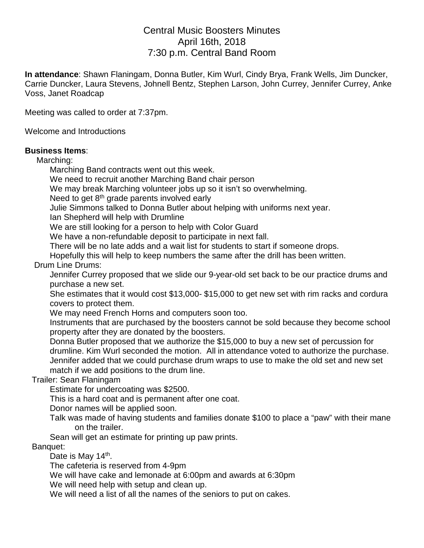# Central Music Boosters Minutes April 16th, 2018 7:30 p.m. Central Band Room

**In attendance**: Shawn Flaningam, Donna Butler, Kim Wurl, Cindy Brya, Frank Wells, Jim Duncker, Carrie Duncker, Laura Stevens, Johnell Bentz, Stephen Larson, John Currey, Jennifer Currey, Anke Voss, Janet Roadcap

Meeting was called to order at 7:37pm.

Welcome and Introductions

#### **Business Items**:

Marching:

Marching Band contracts went out this week.

We need to recruit another Marching Band chair person

We may break Marching volunteer jobs up so it isn't so overwhelming.

Need to get 8<sup>th</sup> grade parents involved early

Julie Simmons talked to Donna Butler about helping with uniforms next year.

Ian Shepherd will help with Drumline

We are still looking for a person to help with Color Guard

We have a non-refundable deposit to participate in next fall.

There will be no late adds and a wait list for students to start if someone drops.

Hopefully this will help to keep numbers the same after the drill has been written.

Drum Line Drums:

Jennifer Currey proposed that we slide our 9-year-old set back to be our practice drums and purchase a new set.

She estimates that it would cost \$13,000- \$15,000 to get new set with rim racks and cordura covers to protect them.

We may need French Horns and computers soon too.

Instruments that are purchased by the boosters cannot be sold because they become school property after they are donated by the boosters.

Donna Butler proposed that we authorize the \$15,000 to buy a new set of percussion for drumline. Kim Wurl seconded the motion. All in attendance voted to authorize the purchase. Jennifer added that we could purchase drum wraps to use to make the old set and new set match if we add positions to the drum line.

### Trailer: Sean Flaningam

Estimate for undercoating was \$2500.

This is a hard coat and is permanent after one coat.

Donor names will be applied soon.

Talk was made of having students and families donate \$100 to place a "paw" with their mane on the trailer.

Sean will get an estimate for printing up paw prints.

Banquet:

Date is May 14<sup>th</sup>.

The cafeteria is reserved from 4-9pm

We will have cake and lemonade at 6:00pm and awards at 6:30pm

We will need help with setup and clean up.

We will need a list of all the names of the seniors to put on cakes.